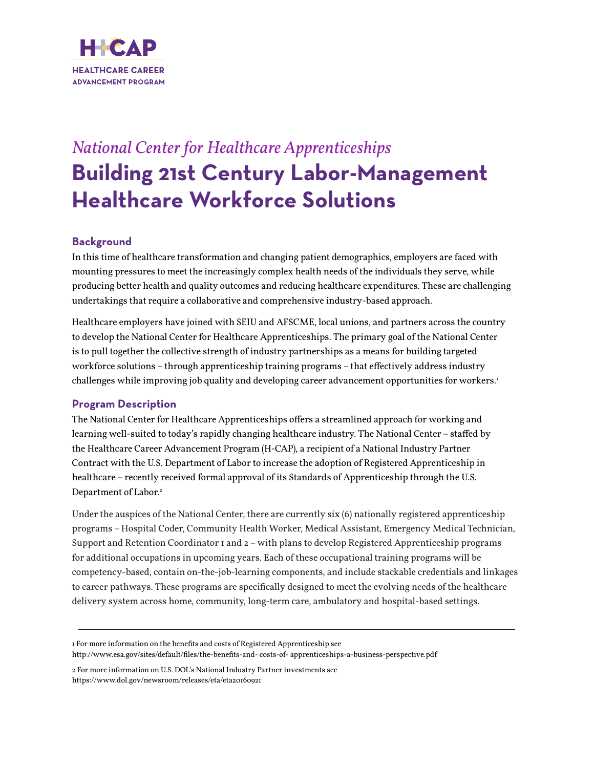

# *National Center for Healthcare Apprenticeships* **Building 21st Century Labor-Management Healthcare Workforce Solutions**

## **Background**

In this time of healthcare transformation and changing patient demographics, employers are faced with mounting pressures to meet the increasingly complex health needs of the individuals they serve, while producing better health and quality outcomes and reducing healthcare expenditures. These are challenging undertakings that require a collaborative and comprehensive industry-based approach.

Healthcare employers have joined with SEIU and AFSCME, local unions, and partners across the country to develop the National Center for Healthcare Apprenticeships. The primary goal of the National Center is to pull together the collective strength of industry partnerships as a means for building targeted workforce solutions – through apprenticeship training programs – that effectively address industry challenges while improving job quality and developing career advancement opportunities for workers.<sup>1</sup>

### **Program Description**

The National Center for Healthcare Apprenticeships offers a streamlined approach for working and learning well-suited to today's rapidly changing healthcare industry. The National Center – staffed by the Healthcare Career Advancement Program (H-CAP), a recipient of a National Industry Partner Contract with the U.S. Department of Labor to increase the adoption of Registered Apprenticeship in healthcare – recently received formal approval of its Standards of Apprenticeship through the U.S. Department of Labor.<sup>2</sup>

Under the auspices of the National Center, there are currently six (6) nationally registered apprenticeship programs – Hospital Coder, Community Health Worker, Medical Assistant, Emergency Medical Technician, Support and Retention Coordinator 1 and 2 – with plans to develop Registered Apprenticeship programs for additional occupations in upcoming years. Each of these occupational training programs will be competency-based, contain on-the-job-learning components, and include stackable credentials and linkages to career pathways. These programs are specifically designed to meet the evolving needs of the healthcare delivery system across home, community, long-term care, ambulatory and hospital-based settings.

http://www.esa.gov/sites/default/files/the-benefits-and- costs-of- apprenticeships-a-business-perspective.pdf

<sup>1</sup> For more information on the benefits and costs of Registered Apprenticeship see

<sup>2</sup> For more information on U.S. DOL's National Industry Partner investments see https://www.dol.gov/newsroom/releases/eta/eta20160921